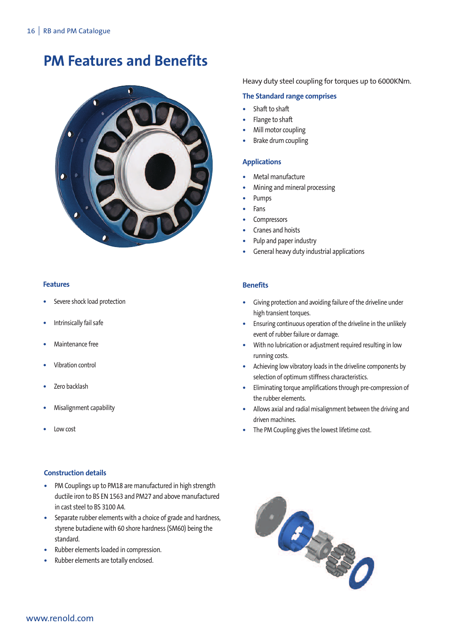# **PM Features and Benefits**



### **Features**

- **•** Severe shock load protection
- **•** Intrinsically fail safe
- **•** Maintenance free
- **•** Vibration control
- **•** Zero backlash
- **•** Misalignment capability
- **•** Low cost

# **Construction details**

- **•** PM Couplings up to PM18 are manufactured in high strength ductile iron to BS EN 1563 and PM27 and above manufactured in cast steel to BS 3100 A4.
- **•** Separate rubber elements with a choice of grade and hardness, styrene butadiene with 60 shore hardness (SM60) being the standard.
- **•** Rubber elements loaded in compression.
- **•** Rubber elements are totally enclosed.

Heavy duty steel coupling for torques up to 6000KNm.

### **The Standard range comprises**

- **•** Shaft to shaft
- **•** Flange to shaft
- **•** Mill motor coupling
- **•** Brake drum coupling

# **Applications**

- **•** Metal manufacture
- **•** Mining and mineral processing
- **•** Pumps
- **•** Fans
- **•** Compressors
- **•** Cranes and hoists
- **•** Pulp and paper industry
- **•** General heavy duty industrial applications

# **Benefits**

- Giving protection and avoiding failure of the driveline under high transient torques.
- Ensuring continuous operation of the driveline in the unlikely event of rubber failure or damage.
- **•** With no lubrication or adjustment required resulting in low running costs.
- **•** Achieving low vibratory loads in the driveline components by selection of optimum stiffness characteristics.
- **•** Eliminating torque amplifications through pre-compression of the rubber elements.
- **•** Allows axial and radial misalignment between the driving and driven machines.
- **•** The PM Coupling gives the lowest lifetime cost.

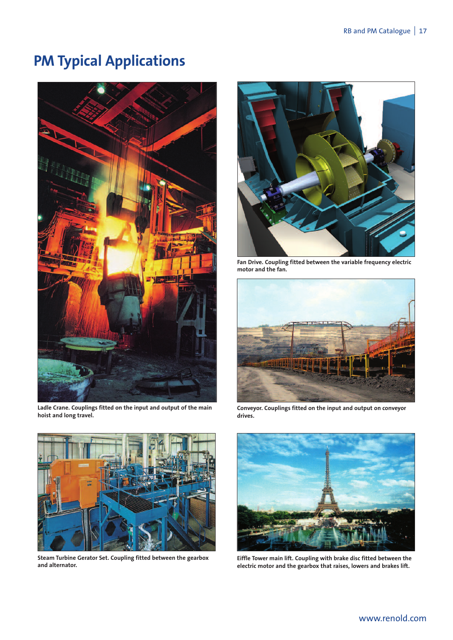# **PM Typical Applications**



**Ladle Crane. Couplings fitted on the input and output of the main hoist and long travel.**



**Steam Turbine Gerator Set. Coupling fitted between the gearbox and alternator.**



**Fan Drive. Coupling fitted between the variable frequency electric motor and the fan.**



**Conveyor. Couplings fitted on the input and output on conveyor drives.**



**Eiffle Tower main lift. Coupling with brake disc fitted between the electric motor and the gearbox that raises, lowers and brakes lift.**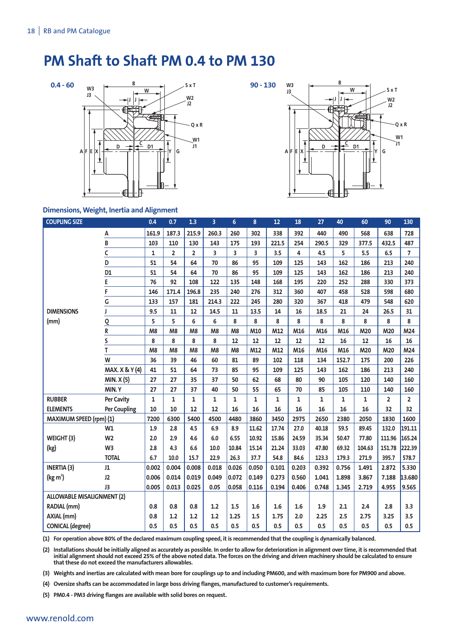# **PM Shaft to Shaft PM 0.4 to PM 130**





### **Dimensions, Weight, Inertia and Alignment**

| <b>COUPLING SIZE</b>              |                     | 0.4          | 0.7            | 1.3            | $\overline{3}$ | $6\phantom{a}$ | 8                       | 12           | 18           | 27    | 40           | 60     | 90             | 130            |
|-----------------------------------|---------------------|--------------|----------------|----------------|----------------|----------------|-------------------------|--------------|--------------|-------|--------------|--------|----------------|----------------|
|                                   | А                   | 161.9        | 187.3          | 215.9          | 260.3          | 260            | 302                     | 338          | 392          | 440   | 490          | 568    | 638            | 728            |
|                                   | $\overline{B}$      | 103          | 110            | 130            | 143            | 175            | 193                     | 221.5        | 254          | 290.5 | 329          | 377.5  | 432.5          | 487            |
|                                   | C                   | $\mathbf{1}$ | $\overline{2}$ | $\overline{2}$ | 3              | 3              | $\overline{\mathbf{3}}$ | 3.5          | 4            | 4.5   | 5            | 5.5    | 6.5            | $\overline{7}$ |
|                                   | D                   | 51           | 54             | 64             | 70             | 86             | 95                      | 109          | 125          | 143   | 162          | 186    | 213            | 240            |
|                                   | D1                  | 51           | 54             | 64             | 70             | 86             | 95                      | 109          | 125          | 143   | 162          | 186    | 213            | 240            |
|                                   | E                   | 76           | 92             | 108            | 122            | 135            | 148                     | 168          | 195          | 220   | 252          | 288    | 330            | 373            |
|                                   | F                   | 146          | 171.4          | 196.8          | 235            | 240            | 276                     | 312          | 360          | 407   | 458          | 528    | 598            | 680            |
|                                   | G                   | 133          | 157            | 181            | 214.3          | 222            | 245                     | 280          | 320          | 367   | 418          | 479    | 548            | 620            |
| <b>DIMENSIONS</b>                 | I                   | 9.5          | 11             | 12             | 14.5           | $11\,$         | 13.5                    | 14           | 16           | 18.5  | 21           | 24     | 26.5           | 31             |
| (mm)                              | $\overline{0}$      | 5            | 5              | 6              | 6              | 8              | 8                       | 8            | 8            | 8     | 8            | 8      | 8              | 8              |
|                                   | R                   | M8           | M8             | M8             | M8             | M8             | M10                     | M12          | M16          | M16   | M16          | M20    | M20            | M24            |
|                                   | S                   | 8            | 8              | 8              | 8              | 12             | 12                      | 12           | 12           | 12    | 16           | 12     | 16             | 16             |
|                                   | T                   | M8           | M8             | M <sub>8</sub> | M8             | M <sub>8</sub> | M12                     | M12          | M16          | M16   | M16          | M20    | M20            | M24            |
|                                   | W                   | 36           | 39             | 46             | 60             | 81             | 89                      | 102          | 118          | 134   | 152.7        | 175    | 200            | 226            |
|                                   | MAX. X & Y (4)      | 41           | 51             | 64             | 73             | 85             | 95                      | 109          | 125          | 143   | 162          | 186    | 213            | 240            |
|                                   | <b>MIN. X (5)</b>   | 27           | 27             | 35             | 37             | 50             | 62                      | 68           | 80           | 90    | 105          | 120    | 140            | 160            |
|                                   | MIN.Y               | 27           | 27             | 37             | 40             | 50             | 55                      | 65           | 70           | 85    | 105          | 110    | 140            | 160            |
| <b>RUBBER</b>                     | <b>Per Cavity</b>   | $\mathbf{1}$ | $\mathbf{1}$   | 1              | $\mathbf{1}$   | 1              | 1                       | $\mathbf{1}$ | $\mathbf{1}$ | 1     | $\mathbf{1}$ | 1      | $\overline{2}$ | $\overline{2}$ |
| <b>ELEMENTS</b>                   | <b>Per Coupling</b> | 10           | 10             | 12             | 12             | 16             | 16                      | 16           | 16           | 16    | 16           | 16     | 32             | 32             |
| MAXIMUM SPEED (rpm) (1)           |                     | 7200         | 6300           | 5400           | 4500           | 4480           | 3860                    | 3450         | 2975         | 2650  | 2380         | 2050   | 1830           | 1600           |
|                                   | W1                  | 1.9          | 2.8            | 4.5            | 6.9            | 8.9            | 11.62                   | 17.74        | 27.0         | 40.18 | 59.5         | 89.45  | 132.0          | 191.11         |
| WEIGHT (3)                        | W <sub>2</sub>      | 2.0          | 2.9            | 4.6            | 6.0            | 6.55           | 10.92                   | 15.86        | 24.59        | 35.34 | 50.47        | 77.80  | 111.96         | 165.24         |
| (kg)                              | W <sub>3</sub>      | 2.8          | 4.3            | 6.6            | 10.0           | 10.84          | 15.14                   | 21.24        | 33.03        | 47.80 | 69.32        | 104.63 | 151.78         | 222.39         |
|                                   | <b>TOTAL</b>        | 6.7          | 10.0           | 15.7           | 22.9           | 26.3           | 37.7                    | 54.8         | 84.6         | 123.3 | 179.3        | 271.9  | 395.7          | 578.7          |
| <b>INERTIA (3)</b>                | J1                  | 0.002        | 0.004          | 0.008          | 0.018          | 0.026          | 0.050                   | 0.101        | 0.203        | 0.392 | 0.756        | 1.491  | 2.872          | 5.330          |
| ( $kg m2$ )                       | J2                  | 0.006        | 0.014          | 0.019          | 0.049          | 0.072          | 0.149                   | 0.273        | 0.560        | 1.041 | 1.898        | 3.867  | 7.188          | 13.680         |
|                                   | J3                  | 0.005        | 0.013          | 0.025          | 0.05           | 0.058          | 0.116                   | 0.194        | 0.406        | 0.748 | 1.345        | 2.719  | 4.955          | 9.565          |
| <b>ALLOWABLE MISALIGNMENT (2)</b> |                     |              |                |                |                |                |                         |              |              |       |              |        |                |                |
| RADIAL (mm)                       |                     | 0.8          | 0.8            | 0.8            | 1.2            | 1.5            | 1.6                     | 1.6          | 1.6          | 1.9   | 2.1          | 2.4    | 2.8            | 3.3            |
| AXIAL (mm)                        |                     | 0.8          | 1.2            | 1.2            | 1.2            | 1.25           | 1.5                     | 1.75         | 2.0          | 2.25  | 2.5          | 2.75   | 3.25           | 3.5            |
| <b>CONICAL</b> (degree)           |                     | 0.5          | 0.5            | 0.5            | 0.5            | 0.5            | 0.5                     | 0.5          | 0.5          | 0.5   | 0.5          | 0.5    | 0.5            | 0.5            |

(1) For operation above 80% of the declared maximum coupling speed, it is recommended that the coupling is dynamically balanced.

(2) Installations should be initially aligned as accurately as possible. In order to allow for deterioration in alignment over time, it is recommended that initial alignment should not exceed 25% of the above noted data. The forces on the driving and driven machinery should be calculated to ensure **that these do not exceed the manufacturers allowables.**

(3) Weights and inertias are calculated with mean bore for couplings up to and including PM600, and with maximum bore for PM900 and above.

**(4) Oversize shafts can be accommodated in large boss driving flanges, manufactured to customer's requirements.**

**(5) PM0.4 - PM3 driving flanges are available with solid bores on request.**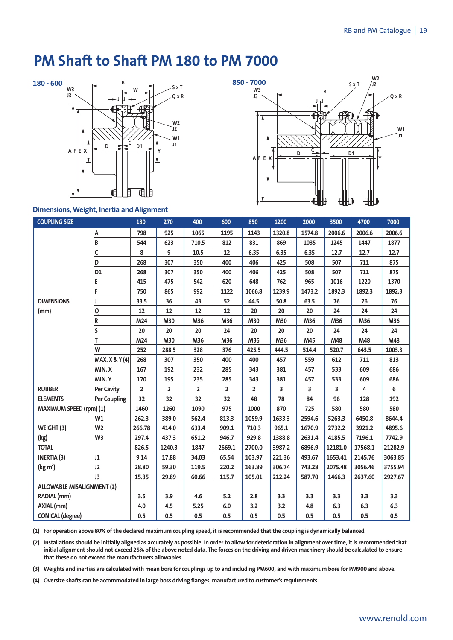# **PM Shaft to Shaft PM 180 to PM 7000**







### **Dimensions, Weight, Inertia and Alignment**

| <b>COUPLING SIZE</b>              |                   | 180            | 270                     | 400            | 600    | 850            | 1200   | 2000   | 3500                    | 4700    | 7000    |
|-----------------------------------|-------------------|----------------|-------------------------|----------------|--------|----------------|--------|--------|-------------------------|---------|---------|
|                                   | A                 | 798            | 925                     | 1065           | 1195   | 1143           | 1320.8 | 1574.8 | 2006.6                  | 2006.6  | 2006.6  |
|                                   | B                 | 544            | 623                     | 710.5          | 812    | 831            | 869    | 1035   | 1245                    | 1447    | 1877    |
|                                   | C                 | 8              | 9                       | 10.5           | 12     | 6.35           | 6.35   | 6.35   | 12.7                    | 12.7    | 12.7    |
|                                   | D                 | 268            | 307                     | 350            | 400    | 406            | 425    | 508    | 507                     | 711     | 875     |
|                                   | D1                | 268            | 307                     | 350            | 400    | 406            | 425    | 508    | 507                     | 711     | 875     |
|                                   | E                 | 415            | 475                     | 542            | 620    | 648            | 762    | 965    | 1016                    | 1220    | 1370    |
|                                   | F                 | 750            | 865                     | 992            | 1122   | 1066.8         | 1239.9 | 1473.2 | 1892.3                  | 1892.3  | 1892.3  |
| <b>DIMENSIONS</b>                 | J                 | 33.5           | 36                      | 43             | 52     | 44.5           | 50.8   | 63.5   | 76                      | 76      | 76      |
| (mm)                              | $\overline{6}$    | 12             | 12                      | 12             | 12     | 20             | 20     | 20     | 24                      | 24      | 24      |
|                                   | R                 | M24            | M30                     | M36            | M36    | M30            | M30    | M36    | M36                     | M36     | M36     |
|                                   | S                 | 20             | 20                      | 20             | 24     | 20             | 20     | 20     | 24                      | 24      | 24      |
|                                   | T                 | M24            | M30                     | M36            | M36    | M36            | M36    | M45    | M48                     | M48     | M48     |
|                                   | W                 | 252            | 288.5                   | 328            | 376    | 425.5          | 444.5  | 514.4  | 520.7                   | 643.5   | 1003.3  |
|                                   | MAX. X & Y (4)    | 268            | 307                     | 350            | 400    | 400            | 457    | 559    | 612                     | 711     | 813     |
|                                   | MIN.X             | 167            | 192                     | 232            | 285    | 343            | 381    | 457    | 533                     | 609     | 686     |
|                                   | MIN.Y             | 170            | 195                     | 235            | 285    | 343            | 381    | 457    | 533                     | 609     | 686     |
| <b>RUBBER</b>                     | <b>Per Cavity</b> | $\overline{2}$ | $\overline{\mathbf{2}}$ | $\overline{2}$ | 2      | $\overline{2}$ | 3      | 3      | $\overline{\mathbf{3}}$ | 4       | 6       |
| <b>ELEMENTS</b>                   | Per Coupling      | 32             | 32                      | 32             | 32     | 48             | 78     | 84     | 96                      | 128     | 192     |
| MAXIMUM SPEED (rpm) (1)           |                   | 1460           | 1260                    | 1090           | 975    | 1000           | 870    | 725    | 580                     | 580     | 580     |
|                                   | W1                | 262.3          | 389.0                   | 562.4          | 813.3  | 1059.9         | 1633.3 | 2594.6 | 5263.3                  | 6450.8  | 8644.4  |
| WEIGHT (3)                        | W <sub>2</sub>    | 266.78         | 414.0                   | 633.4          | 909.1  | 710.3          | 965.1  | 1670.9 | 2732.2                  | 3921.2  | 4895.6  |
| (kg)                              | W <sub>3</sub>    | 297.4          | 437.3                   | 651.2          | 946.7  | 929.8          | 1388.8 | 2631.4 | 4185.5                  | 7196.1  | 7742.9  |
| <b>TOTAL</b>                      |                   | 826.5          | 1240.3                  | 1847           | 2669.1 | 2700.0         | 3987.2 | 6896.9 | 12181.0                 | 17568.1 | 21282.9 |
| <b>INERTIA (3)</b>                | J1                | 9.14           | 17.88                   | 34.03          | 65.54  | 103.97         | 221.36 | 493.67 | 1653.41                 | 2145.76 | 3063.85 |
| (kg m <sup>2</sup> )              | J2                | 28.80          | 59.30                   | 119.5          | 220.2  | 163.89         | 306.74 | 743.28 | 2075.48                 | 3056.46 | 3755.94 |
|                                   | J3                | 15.35          | 29.89                   | 60.66          | 115.7  | 105.01         | 212.24 | 587.70 | 1466.3                  | 2637.60 | 2927.67 |
| <b>ALLOWABLE MISALIGNMENT (2)</b> |                   |                |                         |                |        |                |        |        |                         |         |         |
| RADIAL (mm)                       |                   | 3.5            | 3.9                     | 4.6            | 5.2    | 2.8            | 3.3    | 3.3    | 3.3                     | 3.3     | 3.3     |
| AXIAL (mm)                        |                   | 4.0            | 4.5                     | 5.25           | $6.0$  | 3.2            | 3.2    | 4.8    | 6.3                     | 6.3     | 6.3     |
| <b>CONICAL</b> (degree)           |                   | 0.5            | 0.5                     | 0.5            | 0.5    | 0.5            | 0.5    | 0.5    | 0.5                     | 0.5     | 0.5     |

(1) For operation above 80% of the declared maximum coupling speed, it is recommended that the coupling is dynamically balanced.

(2) Installations should be initially aligned as accurately as possible. In order to allow for deterioration in alignment over time, it is recommended that initial alignment should not exceed 25% of the above noted data. The forces on the driving and driven machinery should be calculated to ensure **that these do not exceed the manufacturers allowables.**

(3) Weights and inertias are calculated with mean bore for couplings up to and including PM600, and with maximum bore for PM900 and above.

**(4) Oversize shafts can be accommodated in large boss driving flanges, manufactured to customer's requirements.**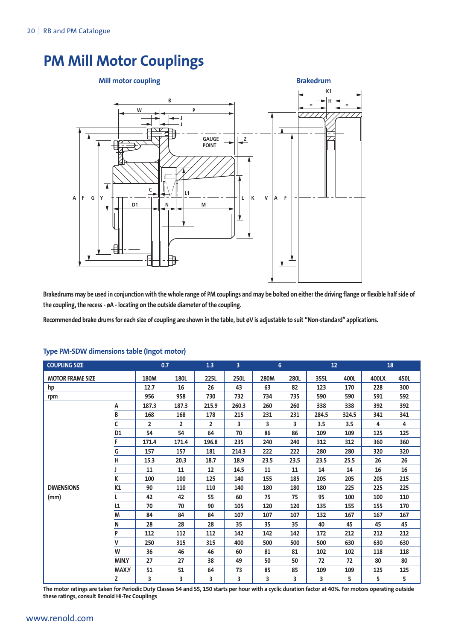# **PM Mill Motor Couplings**



Brakedrums may be used in conjunction with the whole range of PM couplings and may be bolted on either the driving flange or flexible half side of **the** coupling, the recess  $\cdot \phi$ A  $\cdot$  locating on the outside diameter of the coupling.

Recommended brake drums for each size of coupling are shown in the table, but øV is adjustable to suit "Non-standard" applications.

| <b>COUPLING SIZE</b>    |                |                | 0.7            | 1.3            | $\overline{3}$ | 6    |      | 12 <sub>2</sub> |       | 18    |      |
|-------------------------|----------------|----------------|----------------|----------------|----------------|------|------|-----------------|-------|-------|------|
| <b>MOTOR FRAME SIZE</b> |                | 180M           | 180L           | <b>225L</b>    | 250L           | 280M | 280L | 355L            | 400L  | 400LX | 450L |
| hp                      |                | 12.7           | 16             | 26             | 43             | 63   | 82   | 123             | 170   | 228   | 300  |
| rpm                     |                | 956            | 958            | 730            | 732            | 734  | 735  | 590             | 590   | 591   | 592  |
|                         | A              | 187.3          | 187.3          | 215.9          | 260.3          | 260  | 260  | 338             | 338   | 392   | 392  |
|                         | B              | 168            | 168            | 178            | 215            | 231  | 231  | 284.5           | 324.5 | 341   | 341  |
|                         | C              | $\overline{2}$ | $\overline{2}$ | $\overline{2}$ | 3              | 3    | 3    | 3.5             | 3.5   | 4     | 4    |
|                         | D <sub>1</sub> | 54             | 54             | 64             | 70             | 86   | 86   | 109             | 109   | 125   | 125  |
|                         | F              | 171.4          | 171.4          | 196.8          | 235            | 240  | 240  | 312             | 312   | 360   | 360  |
|                         | G              | 157            | 157            | 181            | 214.3          | 222  | 222  | 280             | 280   | 320   | 320  |
|                         | н              | 15.3           | 20.3           | 18.7           | 18.9           | 23.5 | 23.5 | 23.5            | 25.5  | 26    | 26   |
|                         |                | 11             | 11             | 12             | 14.5           | 11   | 11   | 14              | 14    | 16    | 16   |
|                         | K              | 100            | 100            | 125            | 140            | 155  | 185  | 205             | 205   | 205   | 215  |
| <b>DIMENSIONS</b>       | K1             | 90             | 110            | 110            | 140            | 180  | 180  | 180             | 225   | 225   | 225  |
| (mm)                    |                | 42             | 42             | 55             | 60             | 75   | 75   | 95              | 100   | 100   | 110  |
|                         | L1             | 70             | 70             | 90             | 105            | 120  | 120  | 135             | 155   | 155   | 170  |
|                         | M              | 84             | 84             | 84             | 107            | 107  | 107  | 132             | 167   | 167   | 167  |
|                         | N              | 28             | 28             | 28             | 35             | 35   | 35   | 40              | 45    | 45    | 45   |
|                         | P              | 112            | 112            | 112            | 142            | 142  | 142  | 172             | 212   | 212   | 212  |
|                         | v              | 250            | 315            | 315            | 400            | 500  | 500  | 500             | 630   | 630   | 630  |
|                         | W              | 36             | 46             | 46             | 60             | 81   | 81   | 102             | 102   | 118   | 118  |
|                         | MIN.Y          | 27             | 27             | 38             | 49             | 50   | 50   | 72              | 72    | 80    | 80   |
|                         | <b>MAX.Y</b>   | 51             | 51             | 64             | 73             | 85   | 85   | 109             | 109   | 125   | 125  |
|                         | Z              | 3              | 3              | 3              | 3              | 3    | 3    | 3               | 5     | 5     | 5    |

### **Type PM-SDW dimensions table (Ingot motor)**

The motor ratings are taken for Periodic Duty Classes S4 and S5, 150 starts per hour with a cyclic duration factor at 40%. For motors operating outside **these ratings, consult Renold Hi-Tec Couplings**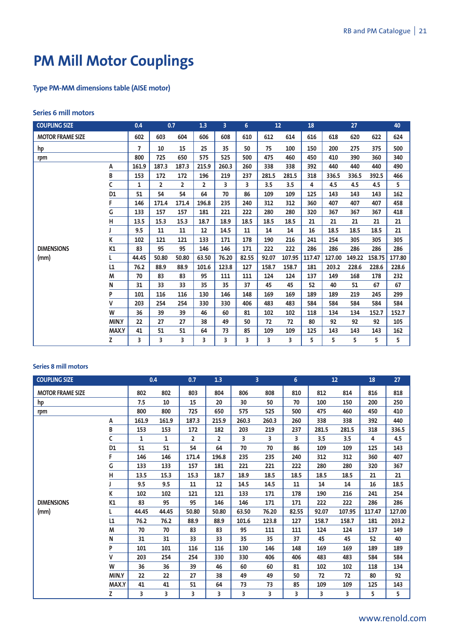# **PM Mill Motor Couplings**

# **Type PM-MM dimensions table (AISE motor)**

# **Series 6 mill motors**

| <b>COUPLING SIZE</b>    |              | 0.4   |                | 0.7            |       | $\overline{3}$ | $6\overline{6}$ | 12    |        | 18     | 27     |        |        | 40     |
|-------------------------|--------------|-------|----------------|----------------|-------|----------------|-----------------|-------|--------|--------|--------|--------|--------|--------|
| <b>MOTOR FRAME SIZE</b> |              | 602   | 603            | 604            | 606   | 608            | 610             | 612   | 614    | 616    | 618    | 620    | 622    | 624    |
| hp                      |              | 7     | 10             | 15             | 25    | 35             | 50              | 75    | 100    | 150    | 200    | 275    | 375    | 500    |
| rpm                     |              | 800   | 725            | 650            | 575   | 525            | 500             | 475   | 460    | 450    | 410    | 390    | 360    | 340    |
|                         | A            | 161.9 | 187.3          | 187.3          | 215.9 | 260.3          | 260             | 338   | 338    | 392    | 440    | 440    | 440    | 490    |
|                         | В            | 153   | 172            | 172            | 196   | 219            | 237             | 281.5 | 281.5  | 318    | 336.5  | 336.5  | 392.5  | 466    |
|                         |              | 1     | $\overline{2}$ | $\overline{2}$ | 2     | 3              | 3               | 3.5   | 3.5    | 4      | 4.5    | 4.5    | 4.5    | 5      |
|                         | D1           | 51    | 54             | 54             | 64    | 70             | 86              | 109   | 109    | 125    | 143    | 143    | 143    | 162    |
|                         |              | 146   | 171.4          | 171.4          | 196.8 | 235            | 240             | 312   | 312    | 360    | 407    | 407    | 407    | 458    |
|                         | G            | 133   | 157            | 157            | 181   | 221            | 222             | 280   | 280    | 320    | 367    | 367    | 367    | 418    |
|                         | н            | 13.5  | 15.3           | 15.3           | 18.7  | 18.9           | 18.5            | 18.5  | 18.5   | 21     | 21     | 21     | 21     | 21     |
|                         |              | 9.5   | 11             | 11             | 12    | 14.5           | 11              | 14    | 14     | 16     | 18.5   | 18.5   | 18.5   | 21     |
|                         | K            | 102   | 121            | 121            | 133   | 171            | 178             | 190   | 216    | 241    | 254    | 305    | 305    | 305    |
| <b>DIMENSIONS</b>       | K1           | 83    | 95             | 95             | 146   | 146            | 171             | 222   | 222    | 286    | 286    | 286    | 286    | 286    |
| (mm)                    |              | 44.45 | 50.80          | 50.80          | 63.50 | 76.20          | 82.55           | 92.07 | 107.95 | 117.47 | 127.00 | 149.22 | 158.75 | 177.80 |
|                         | L1           | 76.2  | 88.9           | 88.9           | 101.6 | 123.8          | 127             | 158.7 | 158.7  | 181    | 203.2  | 228.6  | 228.6  | 228.6  |
|                         | M            | 70    | 83             | 83             | 95    | 111            | 111             | 124   | 124    | 137    | 149    | 168    | 178    | 232    |
|                         | N            | 31    | 33             | 33             | 35    | 35             | 37              | 45    | 45     | 52     | 40     | 51     | 67     | 67     |
|                         | P            | 101   | 116            | 116            | 130   | 146            | 148             | 169   | 169    | 189    | 189    | 219    | 245    | 299    |
|                         | ٧            | 203   | 254            | 254            | 330   | 330            | 406             | 483   | 483    | 584    | 584    | 584    | 584    | 584    |
|                         | W            | 36    | 39             | 39             | 46    | 60             | 81              | 102   | 102    | 118    | 134    | 134    | 152.7  | 152.7  |
|                         | MIN.Y        | 22    | 27             | 27             | 38    | 49             | 50              | 72    | 72     | 80     | 92     | 92     | 92     | 105    |
|                         | <b>MAX.Y</b> | 41    | 51             | 51             | 64    | 73             | 85              | 109   | 109    | 125    | 143    | 143    | 143    | 162    |
|                         | Z            | 3     | 3              | 3              | 3     | 3              | 3               | 3     | 3      | 5      | 5      | 5      | 5      | 5      |

# **Series 8 mill motors**

| <b>COUPLING SIZE</b>    |                |              | 0.4          |                | 1.3            |       | 3     | 6     |       | 12     | 18     | 27     |
|-------------------------|----------------|--------------|--------------|----------------|----------------|-------|-------|-------|-------|--------|--------|--------|
| <b>MOTOR FRAME SIZE</b> |                | 802          | 802          | 803            | 804            | 806   | 808   | 810   | 812   | 814    | 816    | 818    |
| hp                      |                | 7.5          | 10           | 15             | 20             | 30    | 50    | 70    | 100   | 150    | 200    | 250    |
| rpm                     |                | 800          | 800          | 725            | 650            | 575   | 525   | 500   | 475   | 460    | 450    | 410    |
|                         | A              | 161.9        | 161.9        | 187.3          | 215.9          | 260.3 | 260.3 | 260   | 338   | 338    | 392    | 440    |
|                         | B              | 153          | 153          | 172            | 182            | 203   | 219   | 237   | 281.5 | 281.5  | 318    | 336.5  |
|                         |                | $\mathbf{1}$ | $\mathbf{1}$ | $\overline{2}$ | $\overline{2}$ | 3     | 3     | 3     | 3.5   | 3.5    | 4      | 4.5    |
|                         | D <sub>1</sub> | 51           | 51           | 54             | 64             | 70    | 70    | 86    | 109   | 109    | 125    | 143    |
|                         |                | 146          | 146          | 171.4          | 196.8          | 235   | 235   | 240   | 312   | 312    | 360    | 407    |
|                         | G              | 133          | 133          | 157            | 181            | 221   | 221   | 222   | 280   | 280    | 320    | 367    |
|                         | н              | 13.5         | 15.3         | 15.3           | 18.7           | 18.9  | 18.5  | 18.5  | 18.5  | 18.5   | 21     | 21     |
|                         |                | 9.5          | 9.5          | 11             | 12             | 14.5  | 14.5  | 11    | 14    | 14     | 16     | 18.5   |
|                         | K              | 102          | 102          | 121            | 121            | 133   | 171   | 178   | 190   | 216    | 241    | 254    |
| <b>DIMENSIONS</b>       | K1             | 83           | 95           | 95             | 146            | 146   | 171   | 171   | 222   | 222    | 286    | 286    |
| (mm)                    |                | 44.45        | 44.45        | 50.80          | 50.80          | 63.50 | 76.20 | 82.55 | 92.07 | 107.95 | 117.47 | 127.00 |
|                         | L1             | 76.2         | 76.2         | 88.9           | 88.9           | 101.6 | 123.8 | 127   | 158.7 | 158.7  | 181    | 203.2  |
|                         | M              | 70           | 70           | 83             | 83             | 95    | 111   | 111   | 124   | 124    | 137    | 149    |
|                         | N              | 31           | 31           | 33             | 33             | 35    | 35    | 37    | 45    | 45     | 52     | 40     |
|                         | P              | 101          | 101          | 116            | 116            | 130   | 146   | 148   | 169   | 169    | 189    | 189    |
|                         | v              | 203          | 254          | 254            | 330            | 330   | 406   | 406   | 483   | 483    | 584    | 584    |
|                         | W              | 36           | 36           | 39             | 46             | 60    | 60    | 81    | 102   | 102    | 118    | 134    |
|                         | MIN.Y          | 22           | 22           | 27             | 38             | 49    | 49    | 50    | 72    | 72     | 80     | 92     |
|                         | <b>MAX.Y</b>   | 41           | 41           | 51             | 64             | 73    | 73    | 85    | 109   | 109    | 125    | 143    |
|                         | z              | 3            | 3            | 3              | 3              | 3     | 3     | 3     | 3     | 3      | 5      | 5      |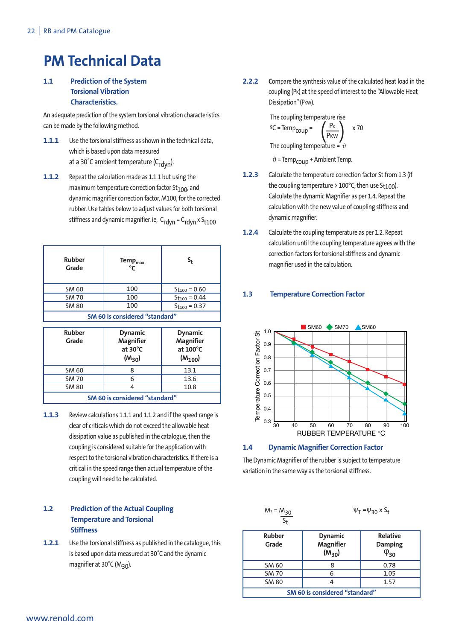# **PM Technical Data**

# **1.1 Prediction of the System Torsional Vibration Characteristics.**

An adequate prediction of the system torsional vibration characteristics can be made by the following method.

- **1.1.1** Use the torsional stiffness as shown in the technical data, which is based upon data measured at a 30°C ambient temperature (C $_{\text{Tdyn}}$ ).
- **1.1.2** Repeat the calculation made as 1.1.1 but using the maximum temperature correction factor  $St<sub>100</sub>$ , and dynamic magnifier correction factor, M100, forthe corrected rubber. Use tables below to adjust values for both torsional stiffness and dynamic magnifier. ie,  $C_{\text{Tdyn}} = C_{\text{Tdyn}} \times S_{\text{t100}}$

| <b>Rubber</b><br>Grade         | Temp <sub>max</sub><br>°C | S,                       |  |  |  |  |  |  |  |  |  |
|--------------------------------|---------------------------|--------------------------|--|--|--|--|--|--|--|--|--|
| SM 60                          | 100                       | $S_{\text{t100}} = 0.60$ |  |  |  |  |  |  |  |  |  |
| <b>SM 70</b>                   | 100                       | $S_{t100} = 0.44$        |  |  |  |  |  |  |  |  |  |
| <b>SM 80</b>                   | 100                       | $St_{100} = 0.37$        |  |  |  |  |  |  |  |  |  |
| SM 60 is considered "standard" |                           |                          |  |  |  |  |  |  |  |  |  |

**SM 60 is considered "standard"**

| <b>Rubber</b><br>Grade         | <b>Dynamic</b><br><b>Magnifier</b><br>at 30°C<br>$(M_{30})$ | <b>Dynamic</b><br><b>Magnifier</b><br>at 100°C<br>$(M_{100})$ |  |  |  |  |  |  |  |  |
|--------------------------------|-------------------------------------------------------------|---------------------------------------------------------------|--|--|--|--|--|--|--|--|
| SM 60                          |                                                             | 13.1                                                          |  |  |  |  |  |  |  |  |
| <b>SM 70</b>                   | 6                                                           | 13.6                                                          |  |  |  |  |  |  |  |  |
| <b>SM 80</b>                   |                                                             | 10.8                                                          |  |  |  |  |  |  |  |  |
| SM 60 is considered "standard" |                                                             |                                                               |  |  |  |  |  |  |  |  |

**1.1.3** Review calculations 1.1.1 and 1.1.2 and if the speed range is clear of criticals which do not exceed the allowable heat dissipation value as published in the catalogue, then the coupling is considered suitable forthe application with respect to the torsional vibration characteristics. If there is a critical in the speed range then actual temperature of the coupling will need to be calculated.

# **1.2 Prediction of the Actual Coupling Temperature and Torsional Stiffness**

**1.2.1** Use the torsional stiffness as published in the catalogue, this is based upon data measured at 30˚C and the dynamic magnifier at 30°C (M<sub>30</sub>).

**2.2.2** Compare the synthesis value of the calculated heat load in the coupling (PK) at the speed of interest to the "Allowable Heat Dissipation" (PKW).

> The coupling temperature rise  $\text{°C}$  = Temp<sub>coup</sub> =  $\left(\frac{P_K}{P}\right) \times 70$ The coupling temperature =  $\vartheta$ PK  $P_{KW}$

 $\vartheta$  = Temp<sub>coup</sub> + Ambient Temp.

- **1.2.3** Calculate the temperature correction factor St from 1.3 (if the coupling temperature > 100°C, then use St<sub>100</sub>). Calculate the dynamic Magnifier as per 1.4. Repeat the calculation with the new value of coupling stiffness and dynamic magnifier.
- **1.2.4** Calculate the coupling temperature as per 1.2. Repeat calculation until the coupling temperature agrees with the correction factors for torsional stiffness and dynamic magnifier used in the calculation.

# **1.3 Temperature Correction Factor**



# **1.4 Dynamic Magnifier Correction Factor**

The Dynamic Magnifier of the rubber is subject to temperature variation in the same way as the torsional stiffness.

| $M_T = \frac{M_{30}}{S_t}$     |                                                  | $\Psi$ <sub>T</sub> = $\Psi$ <sub>30</sub> x S <sub>t</sub> |  |  |  |  |  |  |  |  |
|--------------------------------|--------------------------------------------------|-------------------------------------------------------------|--|--|--|--|--|--|--|--|
| <b>Rubber</b><br>Grade         | <b>Dynamic</b><br><b>Magnifier</b><br>$(M_{30})$ | <b>Relative</b><br><b>Damping</b><br>$\varphi_{30}$         |  |  |  |  |  |  |  |  |
| SM 60                          | 8                                                | 0.78                                                        |  |  |  |  |  |  |  |  |
| <b>SM 70</b>                   | 6                                                | 1.05                                                        |  |  |  |  |  |  |  |  |
| <b>SM 80</b>                   |                                                  | 1.57                                                        |  |  |  |  |  |  |  |  |
| SM 60 is considered "standard" |                                                  |                                                             |  |  |  |  |  |  |  |  |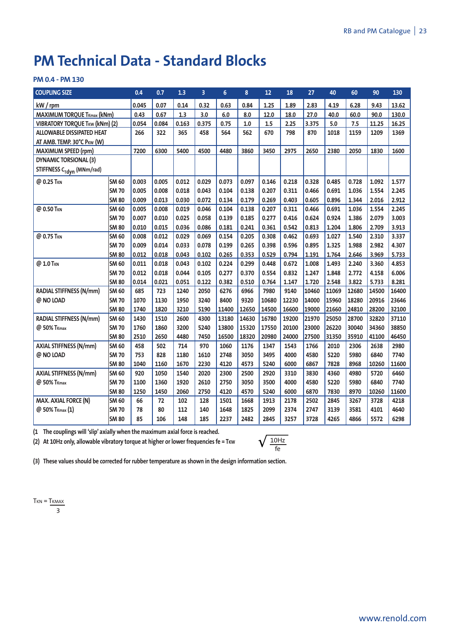# **PM Technical Data - Standard Blocks**

# **PM 0.4 - PM 130**

| <b>COUPLING SIZE</b>                  |              | 0.4   | 0.7   | 1.3   | 3     | 6     | 8     | 12    | 18    | 27    | 40    | 60    | 90    | 130   |
|---------------------------------------|--------------|-------|-------|-------|-------|-------|-------|-------|-------|-------|-------|-------|-------|-------|
| $kW$ / rpm                            |              | 0.045 | 0.07  | 0.14  | 0.32  | 0.63  | 0.84  | 1.25  | 1.89  | 2.83  | 4.19  | 6.28  | 9.43  | 13.62 |
| <b>MAXIMUM TORQUE TKmax (kNm)</b>     |              | 0.43  | 0.67  | 1.3   | 3.0   | 6.0   | 8.0   | 12.0  | 18.0  | 27.0  | 40.0  | 60.0  | 90.0  | 130.0 |
| <b>VIBRATORY TORQUE TKW (kNm) (2)</b> |              | 0.054 | 0.084 | 0.163 | 0.375 | 0.75  | 1.0   | 1.5   | 2.25  | 3.375 | 5.0   | 7.5   | 11.25 | 16.25 |
| <b>ALLOWABLE DISSIPATED HEAT</b>      |              | 266   | 322   | 365   | 458   | 564   | 562   | 670   | 798   | 870   | 1018  | 1159  | 1209  | 1369  |
| AT AMB. TEMP. 30°C PKW (W)            |              |       |       |       |       |       |       |       |       |       |       |       |       |       |
| <b>MAXIMUM SPEED (rpm)</b>            |              | 7200  | 6300  | 5400  | 4500  | 4480  | 3860  | 3450  | 2975  | 2650  | 2380  | 2050  | 1830  | 1600  |
| <b>DYNAMIC TORSIONAL (3)</b>          |              |       |       |       |       |       |       |       |       |       |       |       |       |       |
| STIFFNESS C <sub>Tdyn</sub> (MNm/rad) |              |       |       |       |       |       |       |       |       |       |       |       |       |       |
| @ 0.25 TKN                            | <b>SM 60</b> | 0.003 | 0.005 | 0.012 | 0.029 | 0.073 | 0.097 | 0.146 | 0.218 | 0.328 | 0.485 | 0.728 | 1.092 | 1.577 |
|                                       | <b>SM70</b>  | 0.005 | 0.008 | 0.018 | 0.043 | 0.104 | 0.138 | 0.207 | 0.311 | 0.466 | 0.691 | 1.036 | 1.554 | 2.245 |
|                                       | <b>SM 80</b> | 0.009 | 0.013 | 0.030 | 0.072 | 0.134 | 0.179 | 0.269 | 0.403 | 0.605 | 0.896 | 1.344 | 2.016 | 2.912 |
| @ 0.50 TKN                            | <b>SM 60</b> | 0.005 | 0.008 | 0.019 | 0.046 | 0.104 | 0.138 | 0.207 | 0.311 | 0.466 | 0.691 | 1.036 | 1.554 | 2.245 |
|                                       | <b>SM70</b>  | 0.007 | 0.010 | 0.025 | 0.058 | 0.139 | 0.185 | 0.277 | 0.416 | 0.624 | 0.924 | 1.386 | 2.079 | 3.003 |
|                                       | <b>SM80</b>  | 0.010 | 0.015 | 0.036 | 0.086 | 0.181 | 0.241 | 0.361 | 0.542 | 0.813 | 1.204 | 1.806 | 2.709 | 3.913 |
| @ 0.75 TKN                            | <b>SM 60</b> | 0.008 | 0.012 | 0.029 | 0.069 | 0.154 | 0.205 | 0.308 | 0.462 | 0.693 | 1.027 | 1.540 | 2.310 | 3.337 |
|                                       | <b>SM70</b>  | 0.009 | 0.014 | 0.033 | 0.078 | 0.199 | 0.265 | 0.398 | 0.596 | 0.895 | 1.325 | 1.988 | 2.982 | 4.307 |
|                                       | <b>SM 80</b> | 0.012 | 0.018 | 0.043 | 0.102 | 0.265 | 0.353 | 0.529 | 0.794 | 1.191 | 1.764 | 2.646 | 3.969 | 5.733 |
| @ 1.0 TKN                             | <b>SM 60</b> | 0.011 | 0.018 | 0.043 | 0.102 | 0.224 | 0.299 | 0.448 | 0.672 | 1.008 | 1.493 | 2.240 | 3.360 | 4.853 |
|                                       | <b>SM70</b>  | 0.012 | 0.018 | 0.044 | 0.105 | 0.277 | 0.370 | 0.554 | 0.832 | 1.247 | 1.848 | 2.772 | 4.158 | 6.006 |
|                                       | <b>SM 80</b> | 0.014 | 0.021 | 0.051 | 0.122 | 0.382 | 0.510 | 0.764 | 1.147 | 1.720 | 2.548 | 3.822 | 5.733 | 8.281 |
| RADIAL STIFFNESS (N/mm)               | <b>SM 60</b> | 685   | 723   | 1240  | 2050  | 6276  | 6966  | 7980  | 9140  | 10460 | 11069 | 12680 | 14500 | 16400 |
| @ NO LOAD                             | <b>SM70</b>  | 1070  | 1130  | 1950  | 3240  | 8400  | 9320  | 10680 | 12230 | 14000 | 15960 | 18280 | 20916 | 23646 |
|                                       | <b>SM 80</b> | 1740  | 1820  | 3210  | 5190  | 11400 | 12650 | 14500 | 16600 | 19000 | 21660 | 24810 | 28200 | 32100 |
| <b>RADIAL STIFFNESS (N/mm)</b>        | <b>SM 60</b> | 1430  | 1510  | 2600  | 4300  | 13180 | 14630 | 16780 | 19200 | 21970 | 25050 | 28700 | 32820 | 37110 |
| @ 50% T <sub>Kmax</sub>               | <b>SM70</b>  | 1760  | 1860  | 3200  | 5240  | 13800 | 15320 | 17550 | 20100 | 23000 | 26220 | 30040 | 34360 | 38850 |
|                                       | <b>SM80</b>  | 2510  | 2650  | 4480  | 7450  | 16500 | 18320 | 20980 | 24000 | 27500 | 31350 | 35910 | 41100 | 46450 |
| AXIAL STIFFNESS (N/mm)                | <b>SM 60</b> | 458   | 502   | 714   | 970   | 1060  | 1176  | 1347  | 1543  | 1766  | 2010  | 2306  | 2638  | 2980  |
| @ NO LOAD                             | <b>SM70</b>  | 753   | 828   | 1180  | 1610  | 2748  | 3050  | 3495  | 4000  | 4580  | 5220  | 5980  | 6840  | 7740  |
|                                       | <b>SM80</b>  | 1040  | 1160  | 1670  | 2230  | 4120  | 4573  | 5240  | 6000  | 6867  | 7828  | 8968  | 10260 | 11600 |
| AXIAL STIFFNESS (N/mm)                | <b>SM 60</b> | 920   | 1050  | 1540  | 2020  | 2300  | 2500  | 2920  | 3310  | 3830  | 4360  | 4980  | 5720  | 6460  |
| @ 50% T <sub>Kmax</sub>               | SM 70        | 1100  | 1360  | 1920  | 2610  | 2750  | 3050  | 3500  | 4000  | 4580  | 5220  | 5980  | 6840  | 7740  |
|                                       | <b>SM80</b>  | 1250  | 1450  | 2060  | 2750  | 4120  | 4570  | 5240  | 6000  | 6870  | 7830  | 8970  | 10260 | 11600 |
| <b>MAX. AXIAL FORCE (N)</b>           | <b>SM 60</b> | 66    | 72    | 102   | 128   | 1501  | 1668  | 1913  | 2178  | 2502  | 2845  | 3267  | 3728  | 4218  |
| @ 50% TKmax (1)                       | <b>SM70</b>  | 78    | 80    | 112   | 140   | 1648  | 1825  | 2099  | 2374  | 2747  | 3139  | 3581  | 4101  | 4640  |
|                                       | <b>SM80</b>  | 85    | 106   | 148   | 185   | 2237  | 2482  | 2845  | 3257  | 3728  | 4265  | 4866  | 5572  | 6298  |

**(1 The couplings will 'slip' axially when the maximum axial force is reached.**

**(2) At 10Hz only, allowable vibratory torque at higher or lower frequencies fe = TKW**

$$
\sqrt{\tfrac{10\text{Hz}}{\text{fe}}}
$$

**(3) These values should be corrected for rubber temperature as shown in the design information section.**

 $T<sub>KN</sub> = T<sub>KMAX</sub>$ 

3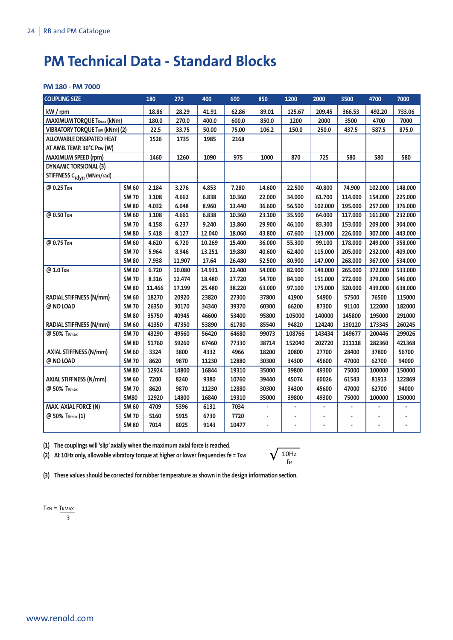# **PM Technical Data - Standard Blocks**

### **PM 180 - PM 7000**

| <b>COUPLING SIZE</b>                  |              | 180    | 270    | 400    | 600    | 850    | 1200   | 2000    | 3500    | 4700    | 7000    |
|---------------------------------------|--------------|--------|--------|--------|--------|--------|--------|---------|---------|---------|---------|
| kW / rpm                              |              | 18.86  | 28.29  | 41.91  | 62.86  | 89.01  | 125.67 | 209.45  | 366.53  | 492.20  | 733.06  |
| <b>MAXIMUM TORQUE TKmax (kNm)</b>     |              | 180.0  | 270.0  | 400.0  | 600.0  | 850.0  | 1200   | 2000    | 3500    | 4700    | 7000    |
| <b>VIBRATORY TORQUE TKW (kNm) (2)</b> |              | 22.5   | 33.75  | 50.00  | 75.00  | 106.2  | 150.0  | 250.0   | 437.5   | 587.5   | 875.0   |
| <b>ALLOWABLE DISSIPATED HEAT</b>      |              | 1526   | 1735   | 1985   | 2168   |        |        |         |         |         |         |
| AT AMB. TEMP. 30°C PKW (W)            |              |        |        |        |        |        |        |         |         |         |         |
| <b>MAXIMUM SPEED (rpm)</b>            |              | 1460   | 1260   | 1090   | 975    | 1000   | 870    | 725     | 580     | 580     | 580     |
| <b>DYNAMIC TORSIONAL (3)</b>          |              |        |        |        |        |        |        |         |         |         |         |
| STIFFNESS C <sub>Tdyn</sub> (MNm/rad) |              |        |        |        |        |        |        |         |         |         |         |
| @ 0.25 TKN                            | <b>SM 60</b> | 2.184  | 3.276  | 4.853  | 7.280  | 14.600 | 22.500 | 40.800  | 74.900  | 102.000 | 148.000 |
|                                       | <b>SM 70</b> | 3.108  | 4.662  | 6.838  | 10.360 | 22.000 | 34.000 | 61.700  | 114.000 | 154.000 | 225.000 |
|                                       | <b>SM 80</b> | 4.032  | 6.048  | 8.960  | 13.440 | 36.600 | 56.500 | 102.000 | 195.000 | 257.000 | 376.000 |
| @ 0.50 TKN                            | <b>SM 60</b> | 3.108  | 4.661  | 6.838  | 10.360 | 23.100 | 35.500 | 64.000  | 117.000 | 161.000 | 232.000 |
|                                       | <b>SM 70</b> | 4.158  | 6.237  | 9.240  | 13.860 | 29.900 | 46.100 | 83.300  | 153.000 | 209.000 | 304.000 |
|                                       | <b>SM 80</b> | 5.418  | 8.127  | 12.040 | 18.060 | 43.800 | 67.600 | 123.000 | 226.000 | 307.000 | 443.000 |
| @ 0.75 TKN                            | <b>SM 60</b> | 4.620  | 6.720  | 10.269 | 15.400 | 36.000 | 55.300 | 99.100  | 178.000 | 249.000 | 358.000 |
|                                       | <b>SM 70</b> | 5.964  | 8.946  | 13.251 | 19.880 | 40.600 | 62.400 | 115.000 | 205.000 | 232.000 | 409.000 |
|                                       | <b>SM 80</b> | 7.938  | 11.907 | 17.64  | 26.480 | 52.500 | 80.900 | 147.000 | 268.000 | 367.000 | 534.000 |
| @ 1.0 TKN                             | <b>SM 60</b> | 6.720  | 10.080 | 14.931 | 22.400 | 54.000 | 82.900 | 149.000 | 265.000 | 372.000 | 533.000 |
|                                       | <b>SM 70</b> | 8.316  | 12.474 | 18.480 | 27.720 | 54.700 | 84.100 | 151.000 | 272.000 | 379.000 | 546.000 |
|                                       | <b>SM 80</b> | 11.466 | 17.199 | 25.480 | 38.220 | 63.000 | 97.100 | 175.000 | 320.000 | 439.000 | 638.000 |
| <b>RADIAL STIFFNESS (N/mm)</b>        | <b>SM 60</b> | 18270  | 20920  | 23820  | 27300  | 37800  | 41900  | 54900   | 57500   | 76500   | 115000  |
| @ NO LOAD                             | <b>SM 70</b> | 26350  | 30170  | 34340  | 39370  | 60300  | 66200  | 87300   | 91100   | 122000  | 182000  |
|                                       | <b>SM 80</b> | 35750  | 40945  | 46600  | 53400  | 95800  | 105000 | 140000  | 145800  | 195000  | 291000  |
| RADIAL STIFFNESS (N/mm)               | <b>SM 60</b> | 41350  | 47350  | 53890  | 61780  | 85540  | 94820  | 124240  | 130120  | 173345  | 260245  |
| @ 50% TKmax                           | <b>SM 70</b> | 43290  | 49560  | 56420  | 64680  | 99073  | 108766 | 143434  | 149677  | 200446  | 299026  |
|                                       | <b>SM 80</b> | 51760  | 59260  | 67460  | 77330  | 38714  | 152040 | 202720  | 211118  | 282360  | 421368  |
| <b>AXIAL STIFFNESS (N/mm)</b>         | SM 60        | 3324   | 3800   | 4332   | 4966   | 18200  | 20800  | 27700   | 28400   | 37800   | 56700   |
| @ NO LOAD                             | <b>SM 70</b> | 8620   | 9870   | 11230  | 12880  | 30300  | 34300  | 45600   | 47000   | 62700   | 94000   |
|                                       | <b>SM 80</b> | 12924  | 14800  | 16844  | 19310  | 35000  | 39800  | 49300   | 75000   | 100000  | 150000  |
| AXIAL STIFFNESS (N/mm)                | SM 60        | 7200   | 8240   | 9380   | 10760  | 39440  | 45074  | 60026   | 61543   | 81913   | 122869  |
| @ 50% T <sub>Kmax</sub>               | <b>SM 70</b> | 8620   | 9870   | 11230  | 12880  | 30300  | 34300  | 45600   | 47000   | 62700   | 94000   |
|                                       | <b>SM80</b>  | 12920  | 14800  | 16840  | 19310  | 35000  | 39800  | 49300   | 75000   | 100000  | 150000  |
| <b>MAX. AXIAL FORCE (N)</b>           | <b>SM 60</b> | 4709   | 5396   | 6131   | 7034   |        |        |         |         |         |         |
| @ 50% TKmax (1)                       | <b>SM 70</b> | 5160   | 5915   | 6730   | 7720   |        |        |         |         |         |         |
|                                       | <b>SM 80</b> | 7014   | 8025   | 9143   | 10477  | ٠      | ٠      | ۰       |         |         |         |

**(1) The couplings will 'slip' axially when the maximum axial force is reached.**

**(2) At 10Hz only, allowable vibratory torque at higher or lower frequencies fe = TKW**



**(3) These values should be corrected for rubber temperature as shown in the design information section.**

 $T<sub>KN</sub> = T<sub>KMAX</sub>$ 3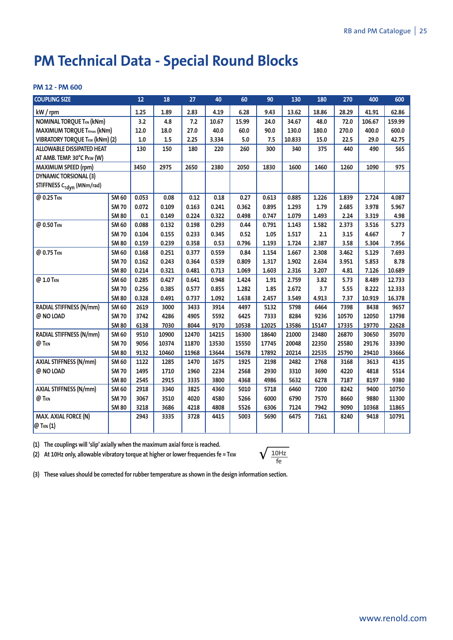# **PM Technical Data - Special Round Blocks**

### **PM 12 - PM 600**

| <b>COUPLING SIZE</b>                  |              | 12    | 18    | 27    | 40    | 60    | 90    | 130    | 180   | 270   | 400    | 600            |
|---------------------------------------|--------------|-------|-------|-------|-------|-------|-------|--------|-------|-------|--------|----------------|
| kW / rpm                              |              | 1.25  | 1.89  | 2.83  | 4.19  | 6.28  | 9.43  | 13.62  | 18.86 | 28.29 | 41.91  | 62.86          |
| <b>NOMINAL TORQUE TKN (kNm)</b>       |              | 3.2   | 4.8   | 7.2   | 10.67 | 15.99 | 24.0  | 34.67  | 48.0  | 72.0  | 106.67 | 159.99         |
| <b>MAXIMUM TORQUE TKmax (kNm)</b>     |              | 12.0  | 18.0  | 27.0  | 40.0  | 60.0  | 90.0  | 130.0  | 180.0 | 270.0 | 400.0  | 600.0          |
| <b>VIBRATORY TORQUE TKW (kNm) (2)</b> |              | 1.0   | 1.5   | 2.25  | 3.334 | 5.0   | 7.5   | 10.833 | 15.0  | 22.5  | 29.0   | 42.75          |
| ALLOWABLE DISSIPATED HEAT             |              | 130   | 150   | 180   | 220   | 260   | 300   | 340    | 375   | 440   | 490    | 565            |
| AT AMB. TEMP. 30°C PKW (W)            |              |       |       |       |       |       |       |        |       |       |        |                |
| <b>MAXIMUM SPEED (rpm)</b>            |              | 3450  | 2975  | 2650  | 2380  | 2050  | 1830  | 1600   | 1460  | 1260  | 1090   | 975            |
| <b>DYNAMIC TORSIONAL (3)</b>          |              |       |       |       |       |       |       |        |       |       |        |                |
| STIFFNESS C <sub>Tdyn</sub> (MNm/rad) |              |       |       |       |       |       |       |        |       |       |        |                |
| @ 0.25 TKN                            | <b>SM 60</b> | 0.053 | 0.08  | 0.12  | 0.18  | 0.27  | 0.613 | 0.885  | 1.226 | 1.839 | 2.724  | 4.087          |
|                                       | <b>SM 70</b> | 0.072 | 0.109 | 0.163 | 0.241 | 0.362 | 0.895 | 1.293  | 1.79  | 2.685 | 3.978  | 5.967          |
|                                       | <b>SM 80</b> | 0.1   | 0.149 | 0.224 | 0.322 | 0.498 | 0.747 | 1.079  | 1.493 | 2.24  | 3.319  | 4.98           |
| @ 0.50 TKN                            | <b>SM 60</b> | 0.088 | 0.132 | 0.198 | 0.293 | 0.44  | 0.791 | 1.143  | 1.582 | 2.373 | 3.516  | 5.273          |
|                                       | <b>SM 70</b> | 0.104 | 0.155 | 0.233 | 0.345 | 0.52  | 1.05  | 1.517  | 2.1   | 3.15  | 4.667  | $\overline{7}$ |
|                                       | <b>SM 80</b> | 0.159 | 0.239 | 0.358 | 0.53  | 0.796 | 1.193 | 1.724  | 2.387 | 3.58  | 5.304  | 7.956          |
| @ 0.75 TKN                            | <b>SM 60</b> | 0.168 | 0.251 | 0.377 | 0.559 | 0.84  | 1.154 | 1.667  | 2.308 | 3.462 | 5.129  | 7.693          |
|                                       | <b>SM 70</b> | 0.162 | 0.243 | 0.364 | 0.539 | 0.809 | 1.317 | 1.902  | 2.634 | 3.951 | 5.853  | 8.78           |
|                                       | <b>SM 80</b> | 0.214 | 0.321 | 0.481 | 0.713 | 1.069 | 1.603 | 2.316  | 3.207 | 4.81  | 7.126  | 10.689         |
| @ 1.0 TKN                             | <b>SM 60</b> | 0.285 | 0.427 | 0.641 | 0.948 | 1.424 | 1.91  | 2.759  | 3.82  | 5.73  | 8.489  | 12.733         |
|                                       | <b>SM 70</b> | 0.256 | 0.385 | 0.577 | 0.855 | 1.282 | 1.85  | 2.672  | 3.7   | 5.55  | 8.222  | 12.333         |
|                                       | <b>SM 80</b> | 0.328 | 0.491 | 0.737 | 1.092 | 1.638 | 2.457 | 3.549  | 4.913 | 7.37  | 10.919 | 16.378         |
| <b>RADIAL STIFFNESS (N/mm)</b>        | SM 60        | 2619  | 3000  | 3433  | 3914  | 4497  | 5132  | 5798   | 6464  | 7398  | 8438   | 9657           |
| @ NO LOAD                             | <b>SM 70</b> | 3742  | 4286  | 4905  | 5592  | 6425  | 7333  | 8284   | 9236  | 10570 | 12050  | 13798          |
|                                       | <b>SM 80</b> | 6138  | 7030  | 8044  | 9170  | 10538 | 12025 | 13586  | 15147 | 17335 | 19770  | 22628          |
| RADIAL STIFFNESS (N/mm)               | <b>SM 60</b> | 9510  | 10900 | 12470 | 14215 | 16300 | 18640 | 21000  | 23480 | 26870 | 30650  | 35070          |
| @ T <sub>KN</sub>                     | <b>SM 70</b> | 9056  | 10374 | 11870 | 13530 | 15550 | 17745 | 20048  | 22350 | 25580 | 29176  | 33390          |
|                                       | <b>SM 80</b> | 9132  | 10460 | 11968 | 13644 | 15678 | 17892 | 20214  | 22535 | 25790 | 29410  | 33666          |
| <b>AXIAL STIFFNESS (N/mm)</b>         | SM 60        | 1122  | 1285  | 1470  | 1675  | 1925  | 2198  | 2482   | 2768  | 3168  | 3613   | 4135           |
| @ NO LOAD                             | <b>SM 70</b> | 1495  | 1710  | 1960  | 2234  | 2568  | 2930  | 3310   | 3690  | 4220  | 4818   | 5514           |
|                                       | <b>SM 80</b> | 2545  | 2915  | 3335  | 3800  | 4368  | 4986  | 5632   | 6278  | 7187  | 8197   | 9380           |
| <b>AXIAL STIFFNESS (N/mm)</b>         | SM 60        | 2918  | 3340  | 3825  | 4360  | 5010  | 5718  | 6460   | 7200  | 8242  | 9400   | 10750          |
| @ T <sub>KN</sub>                     | <b>SM 70</b> | 3067  | 3510  | 4020  | 4580  | 5266  | 6000  | 6790   | 7570  | 8660  | 9880   | 11300          |
|                                       | <b>SM 80</b> | 3218  | 3686  | 4218  | 4808  | 5526  | 6306  | 7124   | 7942  | 9090  | 10368  | 11865          |
| MAX. AXIAL FORCE (N)                  |              | 2943  | 3335  | 3728  | 4415  | 5003  | 5690  | 6475   | 7161  | 8240  | 9418   | 10791          |
| @ T <sub>KN</sub> (1)                 |              |       |       |       |       |       |       |        |       |       |        |                |

**(1) The couplings will 'slip' axially when the maximum axial force is reached.**

**(2) At 10Hz only, allowable vibratory torque at higher or lower frequencies fe = TKW**

$$
\sqrt{\tfrac{10Hz}{fe}}
$$

**(3) These values should be corrected for rubber temperature as shown in the design information section.**